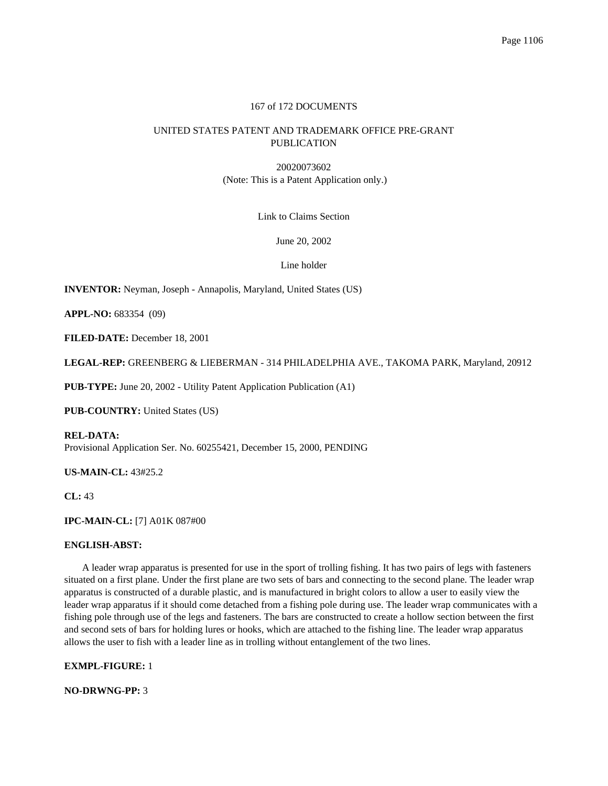# 167 of 172 DOCUMENTS

# UNITED STATES PATENT AND TRADEMARK OFFICE PRE-GRANT PUBLICATION

20020073602 (Note: This is a Patent Application only.)

Link to Claims Section

June 20, 2002

Line holder

**INVENTOR:** Neyman, Joseph - Annapolis, Maryland, United States (US)

**APPL-NO:** 683354 (09)

**FILED-DATE:** December 18, 2001

**LEGAL-REP:** GREENBERG & LIEBERMAN - 314 PHILADELPHIA AVE., TAKOMA PARK, Maryland, 20912

**PUB-TYPE:** June 20, 2002 - Utility Patent Application Publication (A1)

**PUB-COUNTRY:** United States (US)

**REL-DATA:** Provisional Application Ser. No. 60255421, December 15, 2000, PENDING

**US-MAIN-CL:** 43#25.2

**CL:** 43

**IPC-MAIN-CL:** [7] A01K 087#00

## **ENGLISH-ABST:**

A leader wrap apparatus is presented for use in the sport of trolling fishing. It has two pairs of legs with fasteners situated on a first plane. Under the first plane are two sets of bars and connecting to the second plane. The leader wrap apparatus is constructed of a durable plastic, and is manufactured in bright colors to allow a user to easily view the leader wrap apparatus if it should come detached from a fishing pole during use. The leader wrap communicates with a fishing pole through use of the legs and fasteners. The bars are constructed to create a hollow section between the first and second sets of bars for holding lures or hooks, which are attached to the fishing line. The leader wrap apparatus allows the user to fish with a leader line as in trolling without entanglement of the two lines.

# **EXMPL-FIGURE:** 1

**NO-DRWNG-PP:** 3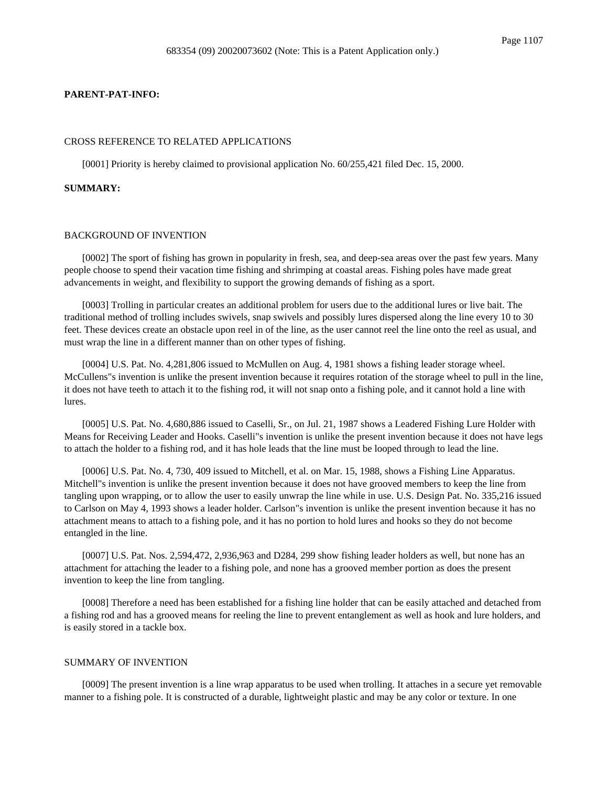#### **PARENT-PAT-INFO:**

## CROSS REFERENCE TO RELATED APPLICATIONS

[0001] Priority is hereby claimed to provisional application No. 60/255,421 filed Dec. 15, 2000.

#### **SUMMARY:**

#### BACKGROUND OF INVENTION

[0002] The sport of fishing has grown in popularity in fresh, sea, and deep-sea areas over the past few years. Many people choose to spend their vacation time fishing and shrimping at coastal areas. Fishing poles have made great advancements in weight, and flexibility to support the growing demands of fishing as a sport.

[0003] Trolling in particular creates an additional problem for users due to the additional lures or live bait. The traditional method of trolling includes swivels, snap swivels and possibly lures dispersed along the line every 10 to 30 feet. These devices create an obstacle upon reel in of the line, as the user cannot reel the line onto the reel as usual, and must wrap the line in a different manner than on other types of fishing.

[0004] U.S. Pat. No. 4,281,806 issued to McMullen on Aug. 4, 1981 shows a fishing leader storage wheel. McCullens"s invention is unlike the present invention because it requires rotation of the storage wheel to pull in the line, it does not have teeth to attach it to the fishing rod, it will not snap onto a fishing pole, and it cannot hold a line with lures.

[0005] U.S. Pat. No. 4,680,886 issued to Caselli, Sr., on Jul. 21, 1987 shows a Leadered Fishing Lure Holder with Means for Receiving Leader and Hooks. Caselli"s invention is unlike the present invention because it does not have legs to attach the holder to a fishing rod, and it has hole leads that the line must be looped through to lead the line.

[0006] U.S. Pat. No. 4, 730, 409 issued to Mitchell, et al. on Mar. 15, 1988, shows a Fishing Line Apparatus. Mitchell"s invention is unlike the present invention because it does not have grooved members to keep the line from tangling upon wrapping, or to allow the user to easily unwrap the line while in use. U.S. Design Pat. No. 335,216 issued to Carlson on May 4, 1993 shows a leader holder. Carlson"s invention is unlike the present invention because it has no attachment means to attach to a fishing pole, and it has no portion to hold lures and hooks so they do not become entangled in the line.

[0007] U.S. Pat. Nos. 2,594,472, 2,936,963 and D284, 299 show fishing leader holders as well, but none has an attachment for attaching the leader to a fishing pole, and none has a grooved member portion as does the present invention to keep the line from tangling.

[0008] Therefore a need has been established for a fishing line holder that can be easily attached and detached from a fishing rod and has a grooved means for reeling the line to prevent entanglement as well as hook and lure holders, and is easily stored in a tackle box.

### SUMMARY OF INVENTION

[0009] The present invention is a line wrap apparatus to be used when trolling. It attaches in a secure yet removable manner to a fishing pole. It is constructed of a durable, lightweight plastic and may be any color or texture. In one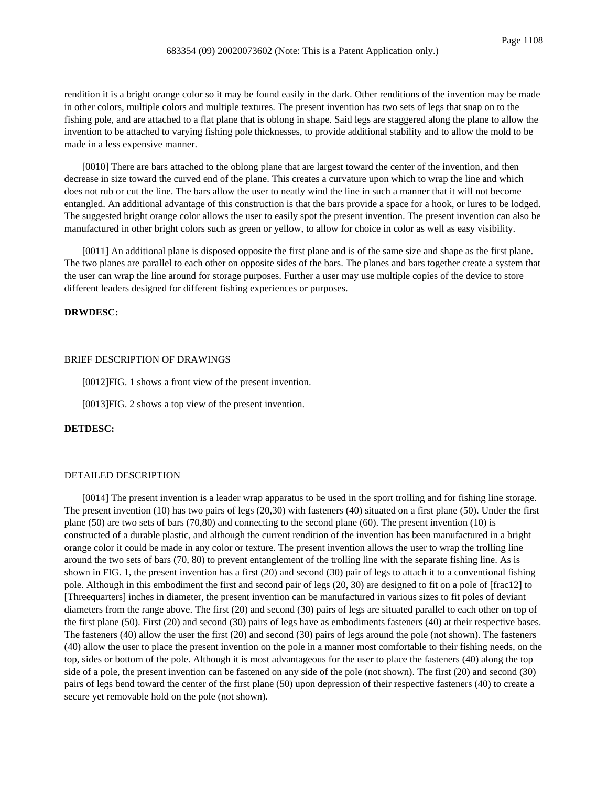rendition it is a bright orange color so it may be found easily in the dark. Other renditions of the invention may be made in other colors, multiple colors and multiple textures. The present invention has two sets of legs that snap on to the fishing pole, and are attached to a flat plane that is oblong in shape. Said legs are staggered along the plane to allow the invention to be attached to varying fishing pole thicknesses, to provide additional stability and to allow the mold to be made in a less expensive manner.

[0010] There are bars attached to the oblong plane that are largest toward the center of the invention, and then decrease in size toward the curved end of the plane. This creates a curvature upon which to wrap the line and which does not rub or cut the line. The bars allow the user to neatly wind the line in such a manner that it will not become entangled. An additional advantage of this construction is that the bars provide a space for a hook, or lures to be lodged. The suggested bright orange color allows the user to easily spot the present invention. The present invention can also be manufactured in other bright colors such as green or yellow, to allow for choice in color as well as easy visibility.

[0011] An additional plane is disposed opposite the first plane and is of the same size and shape as the first plane. The two planes are parallel to each other on opposite sides of the bars. The planes and bars together create a system that the user can wrap the line around for storage purposes. Further a user may use multiple copies of the device to store different leaders designed for different fishing experiences or purposes.

#### **DRWDESC:**

## BRIEF DESCRIPTION OF DRAWINGS

[0012]FIG. 1 shows a front view of the present invention.

[0013]FIG. 2 shows a top view of the present invention.

### **DETDESC:**

## DETAILED DESCRIPTION

[0014] The present invention is a leader wrap apparatus to be used in the sport trolling and for fishing line storage. The present invention (10) has two pairs of legs (20,30) with fasteners (40) situated on a first plane (50). Under the first plane (50) are two sets of bars (70,80) and connecting to the second plane (60). The present invention (10) is constructed of a durable plastic, and although the current rendition of the invention has been manufactured in a bright orange color it could be made in any color or texture. The present invention allows the user to wrap the trolling line around the two sets of bars (70, 80) to prevent entanglement of the trolling line with the separate fishing line. As is shown in FIG. 1, the present invention has a first (20) and second (30) pair of legs to attach it to a conventional fishing pole. Although in this embodiment the first and second pair of legs (20, 30) are designed to fit on a pole of [frac12] to [Threequarters] inches in diameter, the present invention can be manufactured in various sizes to fit poles of deviant diameters from the range above. The first (20) and second (30) pairs of legs are situated parallel to each other on top of the first plane (50). First (20) and second (30) pairs of legs have as embodiments fasteners (40) at their respective bases. The fasteners (40) allow the user the first (20) and second (30) pairs of legs around the pole (not shown). The fasteners (40) allow the user to place the present invention on the pole in a manner most comfortable to their fishing needs, on the top, sides or bottom of the pole. Although it is most advantageous for the user to place the fasteners (40) along the top side of a pole, the present invention can be fastened on any side of the pole (not shown). The first (20) and second (30) pairs of legs bend toward the center of the first plane (50) upon depression of their respective fasteners (40) to create a secure yet removable hold on the pole (not shown).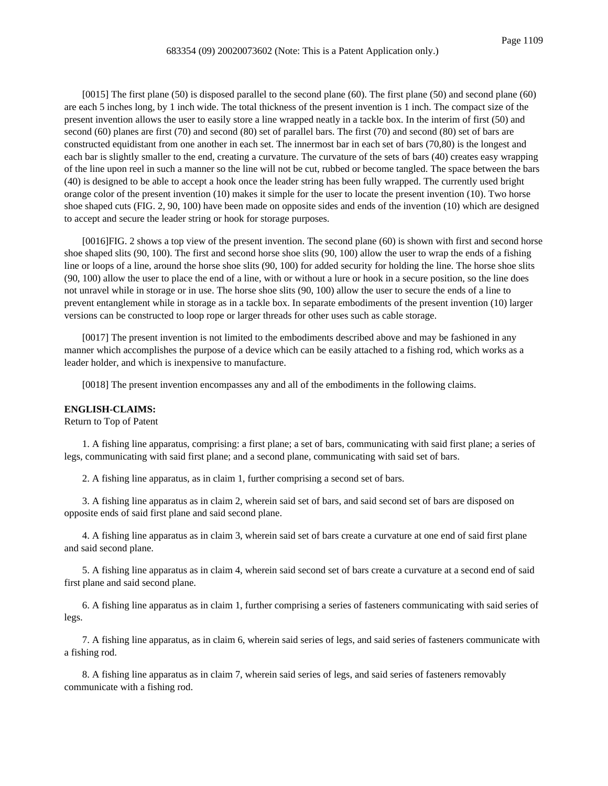[0015] The first plane (50) is disposed parallel to the second plane (60). The first plane (50) and second plane (60) are each 5 inches long, by 1 inch wide. The total thickness of the present invention is 1 inch. The compact size of the present invention allows the user to easily store a line wrapped neatly in a tackle box. In the interim of first (50) and second (60) planes are first (70) and second (80) set of parallel bars. The first (70) and second (80) set of bars are constructed equidistant from one another in each set. The innermost bar in each set of bars (70,80) is the longest and each bar is slightly smaller to the end, creating a curvature. The curvature of the sets of bars (40) creates easy wrapping of the line upon reel in such a manner so the line will not be cut, rubbed or become tangled. The space between the bars (40) is designed to be able to accept a hook once the leader string has been fully wrapped. The currently used bright orange color of the present invention (10) makes it simple for the user to locate the present invention (10). Two horse shoe shaped cuts (FIG. 2, 90, 100) have been made on opposite sides and ends of the invention (10) which are designed to accept and secure the leader string or hook for storage purposes.

[0016]FIG. 2 shows a top view of the present invention. The second plane (60) is shown with first and second horse shoe shaped slits (90, 100). The first and second horse shoe slits (90, 100) allow the user to wrap the ends of a fishing line or loops of a line, around the horse shoe slits (90, 100) for added security for holding the line. The horse shoe slits (90, 100) allow the user to place the end of a line, with or without a lure or hook in a secure position, so the line does not unravel while in storage or in use. The horse shoe slits (90, 100) allow the user to secure the ends of a line to prevent entanglement while in storage as in a tackle box. In separate embodiments of the present invention (10) larger versions can be constructed to loop rope or larger threads for other uses such as cable storage.

[0017] The present invention is not limited to the embodiments described above and may be fashioned in any manner which accomplishes the purpose of a device which can be easily attached to a fishing rod, which works as a leader holder, and which is inexpensive to manufacture.

[0018] The present invention encompasses any and all of the embodiments in the following claims.

# **ENGLISH-CLAIMS:**

Return to Top of Patent

1. A fishing line apparatus, comprising: a first plane; a set of bars, communicating with said first plane; a series of legs, communicating with said first plane; and a second plane, communicating with said set of bars.

2. A fishing line apparatus, as in claim 1, further comprising a second set of bars.

3. A fishing line apparatus as in claim 2, wherein said set of bars, and said second set of bars are disposed on opposite ends of said first plane and said second plane.

4. A fishing line apparatus as in claim 3, wherein said set of bars create a curvature at one end of said first plane and said second plane.

5. A fishing line apparatus as in claim 4, wherein said second set of bars create a curvature at a second end of said first plane and said second plane.

6. A fishing line apparatus as in claim 1, further comprising a series of fasteners communicating with said series of legs.

7. A fishing line apparatus, as in claim 6, wherein said series of legs, and said series of fasteners communicate with a fishing rod.

8. A fishing line apparatus as in claim 7, wherein said series of legs, and said series of fasteners removably communicate with a fishing rod.